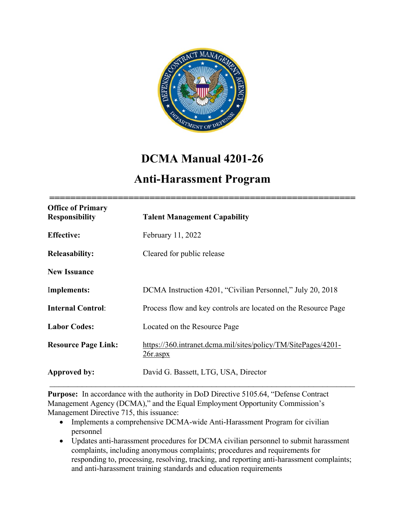

# **DCMA Manual 4201-26**

## **Anti-Harassment Program**

| <b>Office of Primary</b><br><b>Responsibility</b> | <b>Talent Management Capability</b>                                                 |
|---------------------------------------------------|-------------------------------------------------------------------------------------|
| <b>Effective:</b>                                 | February 11, 2022                                                                   |
| <b>Releasability:</b>                             | Cleared for public release                                                          |
| <b>New Issuance</b>                               |                                                                                     |
| Implements:                                       | DCMA Instruction 4201, "Civilian Personnel," July 20, 2018                          |
| <b>Internal Control:</b>                          | Process flow and key controls are located on the Resource Page                      |
| <b>Labor Codes:</b>                               | Located on the Resource Page                                                        |
| <b>Resource Page Link:</b>                        | https://360.intranet.dcma.mil/sites/policy/TM/SitePages/4201-<br>$26r \text{.aspx}$ |
| Approved by:                                      | David G. Bassett, LTG, USA, Director                                                |

**Purpose:** In accordance with the authority in DoD Directive 5105.64, "Defense Contract Management Agency (DCMA)," and the Equal Employment Opportunity Commission's Management Directive 715, this issuance:

- Implements a comprehensive DCMA-wide Anti-Harassment Program for civilian personnel
- Updates anti-harassment procedures for DCMA civilian personnel to submit harassment complaints, including anonymous complaints; procedures and requirements for responding to, processing, resolving, tracking, and reporting anti-harassment complaints; and anti-harassment training standards and education requirements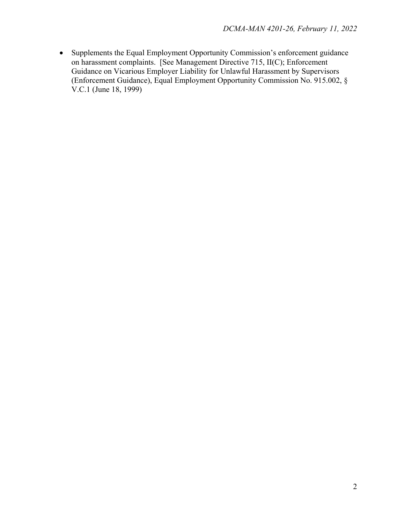• Supplements the Equal Employment Opportunity Commission's enforcement guidance on harassment complaints. [See Management Directive 715, II(C); Enforcement Guidance on Vicarious Employer Liability for Unlawful Harassment by Supervisors (Enforcement Guidance), Equal Employment Opportunity Commission No. 915.002, § V.C.1 (June 18, 1999)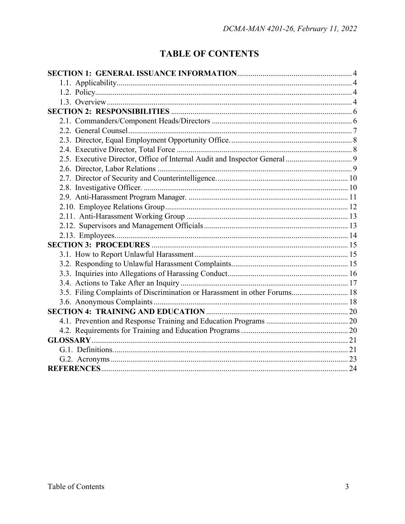## **TABLE OF CONTENTS**

| 3.5. Filing Complaints of Discrimination or Harassment in other Forums 18 |  |  |
|---------------------------------------------------------------------------|--|--|
|                                                                           |  |  |
|                                                                           |  |  |
|                                                                           |  |  |
|                                                                           |  |  |
|                                                                           |  |  |
|                                                                           |  |  |
|                                                                           |  |  |
|                                                                           |  |  |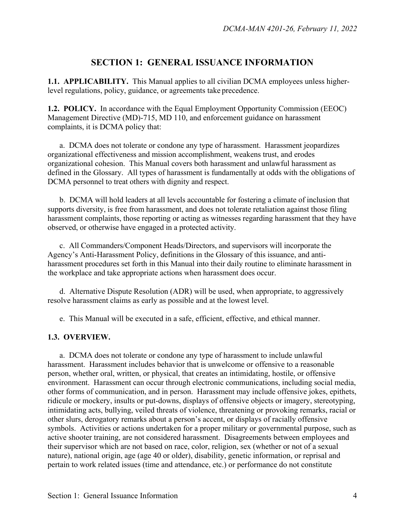## **SECTION 1: GENERAL ISSUANCE INFORMATION**

**1.1. APPLICABILITY.** This Manual applies to all civilian DCMA employees unless higherlevel regulations, policy, guidance, or agreements take precedence.

**1.2. POLICY.** In accordance with the Equal Employment Opportunity Commission (EEOC) Management Directive (MD)-715, MD 110, and enforcement guidance on harassment complaints, it is DCMA policy that:

 a. DCMA does not tolerate or condone any type of harassment. Harassment jeopardizes organizational effectiveness and mission accomplishment, weakens trust, and erodes organizational cohesion. This Manual covers both harassment and unlawful harassment as defined in the Glossary. All types of harassment is fundamentally at odds with the obligations of DCMA personnel to treat others with dignity and respect.

 b. DCMA will hold leaders at all levels accountable for fostering a climate of inclusion that supports diversity, is free from harassment, and does not tolerate retaliation against those filing harassment complaints, those reporting or acting as witnesses regarding harassment that they have observed, or otherwise have engaged in a protected activity.

 c. All Commanders/Component Heads/Directors, and supervisors will incorporate the Agency's Anti-Harassment Policy, definitions in the Glossary of this issuance, and antiharassment procedures set forth in this Manual into their daily routine to eliminate harassment in the workplace and take appropriate actions when harassment does occur.

 d. Alternative Dispute Resolution (ADR) will be used, when appropriate, to aggressively resolve harassment claims as early as possible and at the lowest level.

e. This Manual will be executed in a safe, efficient, effective, and ethical manner.

#### **1.3. OVERVIEW.**

a. DCMA does not tolerate or condone any type of harassment to include unlawful harassment. Harassment includes behavior that is unwelcome or offensive to a reasonable person, whether oral, written, or physical, that creates an intimidating, hostile, or offensive environment. Harassment can occur through electronic communications, including social media, other forms of communication, and in person. Harassment may include offensive jokes, epithets, ridicule or mockery, insults or put-downs, displays of offensive objects or imagery, stereotyping, intimidating acts, bullying, veiled threats of violence, threatening or provoking remarks, racial or other slurs, derogatory remarks about a person's accent, or displays of racially offensive symbols. Activities or actions undertaken for a proper military or governmental purpose, such as active shooter training, are not considered harassment. Disagreements between employees and their supervisor which are not based on race, color, religion, sex (whether or not of a sexual nature), national origin, age (age 40 or older), disability, genetic information, or reprisal and pertain to work related issues (time and attendance, etc.) or performance do not constitute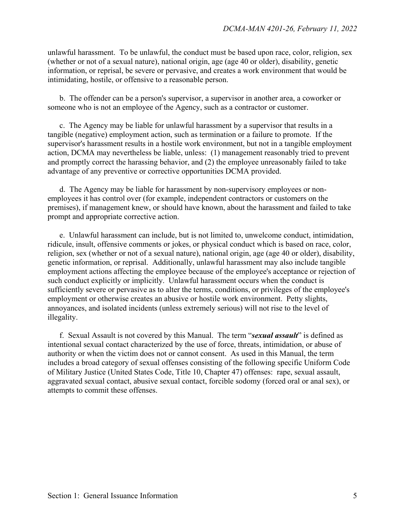unlawful harassment. To be unlawful, the conduct must be based upon race, color, religion, sex (whether or not of a sexual nature), national origin, age (age 40 or older), disability, genetic information, or reprisal, be severe or pervasive, and creates a work environment that would be intimidating, hostile, or offensive to a reasonable person.

 b. The offender can be a person's supervisor, a supervisor in another area, a coworker or someone who is not an employee of the Agency, such as a contractor or customer.

 c. The Agency may be liable for unlawful harassment by a supervisor that results in a tangible (negative) employment action, such as termination or a failure to promote. If the supervisor's harassment results in a hostile work environment, but not in a tangible employment action, DCMA may nevertheless be liable, unless: (1) management reasonably tried to prevent and promptly correct the harassing behavior, and (2) the employee unreasonably failed to take advantage of any preventive or corrective opportunities DCMA provided.

 d. The Agency may be liable for harassment by non-supervisory employees or nonemployees it has control over (for example, independent contractors or customers on the premises), if management knew, or should have known, about the harassment and failed to take prompt and appropriate corrective action.

 e. Unlawful harassment can include, but is not limited to, unwelcome conduct, intimidation, ridicule, insult, offensive comments or jokes, or physical conduct which is based on race, color, religion, sex (whether or not of a sexual nature), national origin, age (age 40 or older), disability, genetic information, or reprisal. Additionally, unlawful harassment may also include tangible employment actions affecting the employee because of the employee's acceptance or rejection of such conduct explicitly or implicitly. Unlawful harassment occurs when the conduct is sufficiently severe or pervasive as to alter the terms, conditions, or privileges of the employee's employment or otherwise creates an abusive or hostile work environment. Petty slights, annoyances, and isolated incidents (unless extremely serious) will not rise to the level of illegality.

 f. Sexual Assault is not covered by this Manual. The term "*sexual assault*" is defined as intentional sexual contact characterized by the use of force, threats, intimidation, or abuse of authority or when the victim does not or cannot consent. As used in this Manual, the term includes a broad category of sexual offenses consisting of the following specific Uniform Code of Military Justice (United States Code, Title 10, Chapter 47) offenses: rape, sexual assault, aggravated sexual contact, abusive sexual contact, forcible sodomy (forced oral or anal sex), or attempts to commit these offenses.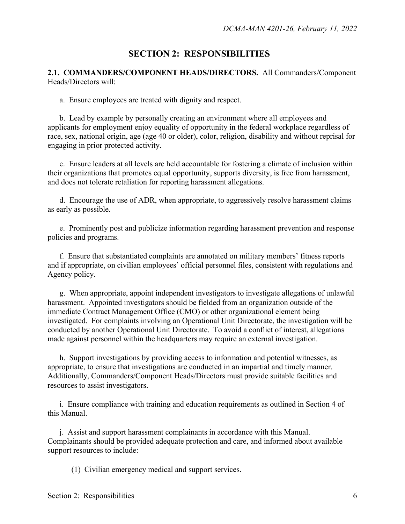## **SECTION 2: RESPONSIBILITIES**

**2.1. COMMANDERS/COMPONENT HEADS/DIRECTORS.** All Commanders/Component Heads/Directors will:

a. Ensure employees are treated with dignity and respect.

b. Lead by example by personally creating an environment where all employees and applicants for employment enjoy equality of opportunity in the federal workplace regardless of race, sex, national origin, age (age 40 or older), color, religion, disability and without reprisal for engaging in prior protected activity.

 c. Ensure leaders at all levels are held accountable for fostering a climate of inclusion within their organizations that promotes equal opportunity, supports diversity, is free from harassment, and does not tolerate retaliation for reporting harassment allegations.

 d. Encourage the use of ADR, when appropriate, to aggressively resolve harassment claims as early as possible.

 e. Prominently post and publicize information regarding harassment prevention and response policies and programs.

 f. Ensure that substantiated complaints are annotated on military members' fitness reports and if appropriate, on civilian employees' official personnel files, consistent with regulations and Agency policy.

 g. When appropriate, appoint independent investigators to investigate allegations of unlawful harassment. Appointed investigators should be fielded from an organization outside of the immediate Contract Management Office (CMO) or other organizational element being investigated. For complaints involving an Operational Unit Directorate, the investigation will be conducted by another Operational Unit Directorate. To avoid a conflict of interest, allegations made against personnel within the headquarters may require an external investigation.

 h. Support investigations by providing access to information and potential witnesses, as appropriate, to ensure that investigations are conducted in an impartial and timely manner. Additionally, Commanders/Component Heads/Directors must provide suitable facilities and resources to assist investigators.

 i. Ensure compliance with training and education requirements as outlined in Section 4 of this Manual.

 j. Assist and support harassment complainants in accordance with this Manual. Complainants should be provided adequate protection and care, and informed about available support resources to include:

(1) Civilian emergency medical and support services.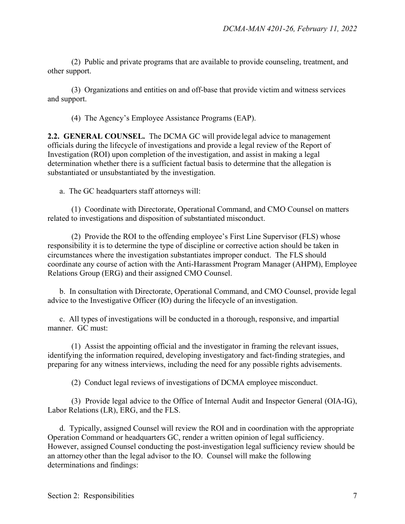(2) Public and private programs that are available to provide counseling, treatment, and other support.

 (3) Organizations and entities on and off-base that provide victim and witness services and support.

(4) The Agency's Employee Assistance Programs (EAP).

**2.2. GENERAL COUNSEL.** The DCMA GC will provide legal advice to management officials during the lifecycle of investigations and provide a legal review of the Report of Investigation (ROI) upon completion of the investigation, and assist in making a legal determination whether there is a sufficient factual basis to determine that the allegation is substantiated or unsubstantiated by the investigation.

a. The GC headquarters staff attorneys will:

 (1) Coordinate with Directorate, Operational Command, and CMO Counsel on matters related to investigations and disposition of substantiated misconduct.

 (2) Provide the ROI to the offending employee's First Line Supervisor (FLS) whose responsibility it is to determine the type of discipline or corrective action should be taken in circumstances where the investigation substantiates improper conduct. The FLS should coordinate any course of action with the Anti-Harassment Program Manager (AHPM), Employee Relations Group (ERG) and their assigned CMO Counsel.

 b. In consultation with Directorate, Operational Command, and CMO Counsel, provide legal advice to the Investigative Officer (IO) during the lifecycle of an investigation.

 c. All types of investigations will be conducted in a thorough, responsive, and impartial manner. GC must:

 (1) Assist the appointing official and the investigator in framing the relevant issues, identifying the information required, developing investigatory and fact-finding strategies, and preparing for any witness interviews, including the need for any possible rights advisements.

(2) Conduct legal reviews of investigations of DCMA employee misconduct.

 (3) Provide legal advice to the Office of Internal Audit and Inspector General (OIA-IG), Labor Relations (LR), ERG, and the FLS.

 d. Typically, assigned Counsel will review the ROI and in coordination with the appropriate Operation Command or headquarters GC, render a written opinion of legal sufficiency. However, assigned Counsel conducting the post-investigation legal sufficiency review should be an attorney other than the legal advisor to the IO. Counsel will make the following determinations and findings: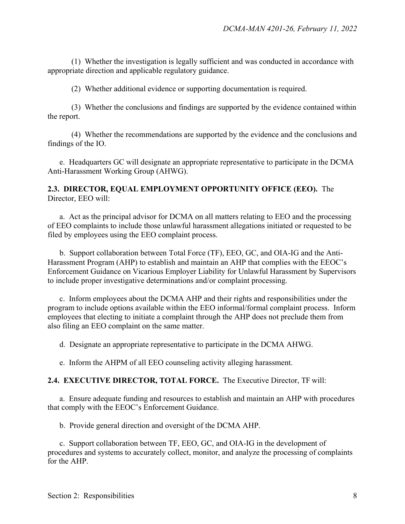(1) Whether the investigation is legally sufficient and was conducted in accordance with appropriate direction and applicable regulatory guidance.

(2) Whether additional evidence or supporting documentation is required.

 (3) Whether the conclusions and findings are supported by the evidence contained within the report.

 (4) Whether the recommendations are supported by the evidence and the conclusions and findings of the IO.

e. Headquarters GC will designate an appropriate representative to participate in the DCMA Anti-Harassment Working Group (AHWG).

#### **2.3. DIRECTOR, EQUAL EMPLOYMENT OPPORTUNITY OFFICE (EEO).** The Director, EEO will:

a. Act as the principal advisor for DCMA on all matters relating to EEO and the processing of EEO complaints to include those unlawful harassment allegations initiated or requested to be filed by employees using the EEO complaint process.

 b. Support collaboration between Total Force (TF), EEO, GC, and OIA-IG and the Anti-Harassment Program (AHP) to establish and maintain an AHP that complies with the EEOC's Enforcement Guidance on Vicarious Employer Liability for Unlawful Harassment by Supervisors to include proper investigative determinations and/or complaint processing.

 c. Inform employees about the DCMA AHP and their rights and responsibilities under the program to include options available within the EEO informal/formal complaint process. Inform employees that electing to initiate a complaint through the AHP does not preclude them from also filing an EEO complaint on the same matter.

d. Designate an appropriate representative to participate in the DCMA AHWG.

e. Inform the AHPM of all EEO counseling activity alleging harassment.

#### **2.4. EXECUTIVE DIRECTOR, TOTAL FORCE.** The Executive Director, TF will:

 a. Ensure adequate funding and resources to establish and maintain an AHP with procedures that comply with the EEOC's Enforcement Guidance.

b. Provide general direction and oversight of the DCMA AHP.

 c. Support collaboration between TF, EEO, GC, and OIA-IG in the development of procedures and systems to accurately collect, monitor, and analyze the processing of complaints for the AHP.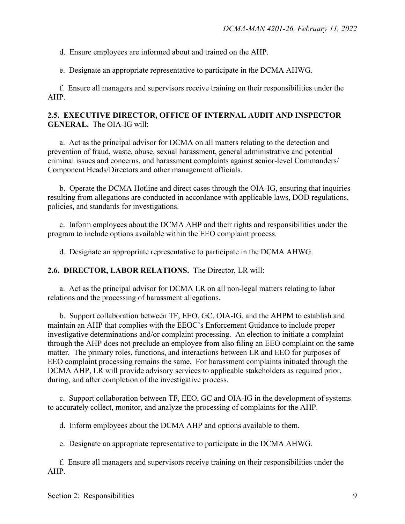d. Ensure employees are informed about and trained on the AHP.

e. Designate an appropriate representative to participate in the DCMA AHWG.

f. Ensure all managers and supervisors receive training on their responsibilities under the AHP.

#### **2.5. EXECUTIVE DIRECTOR, OFFICE OF INTERNAL AUDIT AND INSPECTOR GENERAL.** The OIA-IG will:

a. Act as the principal advisor for DCMA on all matters relating to the detection and prevention of fraud, waste, abuse, sexual harassment, general administrative and potential criminal issues and concerns, and harassment complaints against senior-level Commanders/ Component Heads/Directors and other management officials.

 b. Operate the DCMA Hotline and direct cases through the OIA-IG, ensuring that inquiries resulting from allegations are conducted in accordance with applicable laws, DOD regulations, policies, and standards for investigations.

 c. Inform employees about the DCMA AHP and their rights and responsibilities under the program to include options available within the EEO complaint process.

d. Designate an appropriate representative to participate in the DCMA AHWG.

**2.6. DIRECTOR, LABOR RELATIONS.** The Director, LR will:

 a. Act as the principal advisor for DCMA LR on all non-legal matters relating to labor relations and the processing of harassment allegations.

 b. Support collaboration between TF, EEO, GC, OIA-IG, and the AHPM to establish and maintain an AHP that complies with the EEOC's Enforcement Guidance to include proper investigative determinations and/or complaint processing. An election to initiate a complaint through the AHP does not preclude an employee from also filing an EEO complaint on the same matter. The primary roles, functions, and interactions between LR and EEO for purposes of EEO complaint processing remains the same. For harassment complaints initiated through the DCMA AHP, LR will provide advisory services to applicable stakeholders as required prior, during, and after completion of the investigative process.

 c. Support collaboration between TF, EEO, GC and OIA-IG in the development of systems to accurately collect, monitor, and analyze the processing of complaints for the AHP.

d. Inform employees about the DCMA AHP and options available to them.

e. Designate an appropriate representative to participate in the DCMA AHWG.

 f. Ensure all managers and supervisors receive training on their responsibilities under the AHP.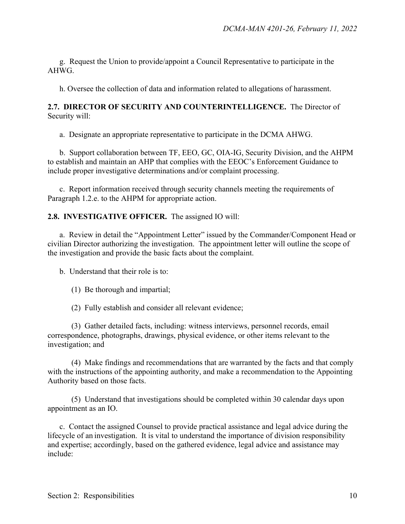g. Request the Union to provide/appoint a Council Representative to participate in the AHWG.

h. Oversee the collection of data and information related to allegations of harassment.

#### **2.7. DIRECTOR OF SECURITY AND COUNTERINTELLIGENCE.** The Director of Security will:

a. Designate an appropriate representative to participate in the DCMA AHWG.

 b. Support collaboration between TF, EEO, GC, OIA-IG, Security Division, and the AHPM to establish and maintain an AHP that complies with the EEOC's Enforcement Guidance to include proper investigative determinations and/or complaint processing.

 c. Report information received through security channels meeting the requirements of Paragraph 1.2.e. to the AHPM for appropriate action.

#### **2.8. INVESTIGATIVE OFFICER.** The assigned IO will:

 a. Review in detail the "Appointment Letter" issued by the Commander/Component Head or civilian Director authorizing the investigation. The appointment letter will outline the scope of the investigation and provide the basic facts about the complaint.

b. Understand that their role is to:

- (1) Be thorough and impartial;
- (2) Fully establish and consider all relevant evidence;

(3) Gather detailed facts, including: witness interviews, personnel records, email correspondence, photographs, drawings, physical evidence, or other items relevant to the investigation; and

(4) Make findings and recommendations that are warranted by the facts and that comply with the instructions of the appointing authority, and make a recommendation to the Appointing Authority based on those facts.

(5) Understand that investigations should be completed within 30 calendar days upon appointment as an IO.

 c. Contact the assigned Counsel to provide practical assistance and legal advice during the lifecycle of an investigation. It is vital to understand the importance of division responsibility and expertise; accordingly, based on the gathered evidence, legal advice and assistance may include: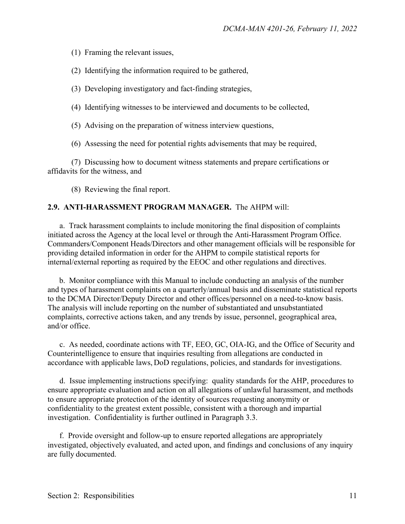(1) Framing the relevant issues,

(2) Identifying the information required to be gathered,

(3) Developing investigatory and fact-finding strategies,

(4) Identifying witnesses to be interviewed and documents to be collected,

(5) Advising on the preparation of witness interview questions,

(6) Assessing the need for potential rights advisements that may be required,

 (7) Discussing how to document witness statements and prepare certifications or affidavits for the witness, and

(8) Reviewing the final report.

#### **2.9. ANTI-HARASSMENT PROGRAM MANAGER.** The AHPM will:

 a. Track harassment complaints to include monitoring the final disposition of complaints initiated across the Agency at the local level or through the Anti-Harassment Program Office. Commanders/Component Heads/Directors and other management officials will be responsible for providing detailed information in order for the AHPM to compile statistical reports for internal/external reporting as required by the EEOC and other regulations and directives.

 b. Monitor compliance with this Manual to include conducting an analysis of the number and types of harassment complaints on a quarterly/annual basis and disseminate statistical reports to the DCMA Director/Deputy Director and other offices/personnel on a need-to-know basis. The analysis will include reporting on the number of substantiated and unsubstantiated complaints, corrective actions taken, and any trends by issue, personnel, geographical area, and/or office.

 c. As needed, coordinate actions with TF, EEO, GC, OIA-IG, and the Office of Security and Counterintelligence to ensure that inquiries resulting from allegations are conducted in accordance with applicable laws, DoD regulations, policies, and standards for investigations.

 d. Issue implementing instructions specifying: quality standards for the AHP, procedures to ensure appropriate evaluation and action on all allegations of unlawful harassment, and methods to ensure appropriate protection of the identity of sources requesting anonymity or confidentiality to the greatest extent possible, consistent with a thorough and impartial investigation. Confidentiality is further outlined in Paragraph 3.3.

 f. Provide oversight and follow-up to ensure reported allegations are appropriately investigated, objectively evaluated, and acted upon, and findings and conclusions of any inquiry are fully documented.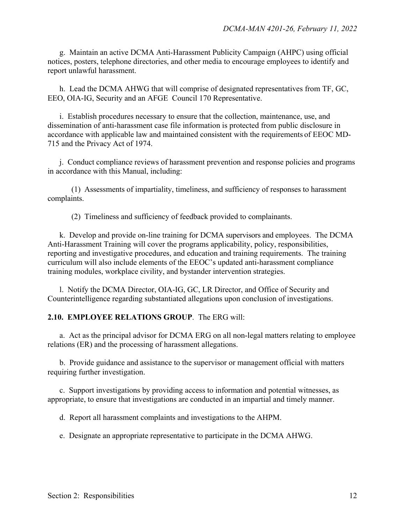g. Maintain an active DCMA Anti-Harassment Publicity Campaign (AHPC) using official notices, posters, telephone directories, and other media to encourage employees to identify and report unlawful harassment.

 h. Lead the DCMA AHWG that will comprise of designated representatives from TF, GC, EEO, OIA-IG, Security and an AFGE Council 170 Representative.

 i. Establish procedures necessary to ensure that the collection, maintenance, use, and dissemination of anti-harassment case file information is protected from public disclosure in accordance with applicable law and maintained consistent with the requirements of EEOC MD-715 and the Privacy Act of 1974.

 j. Conduct compliance reviews of harassment prevention and response policies and programs in accordance with this Manual, including:

 (1) Assessments of impartiality, timeliness, and sufficiency of responses to harassment complaints.

(2) Timeliness and sufficiency of feedback provided to complainants.

 k. Develop and provide on-line training for DCMA supervisors and employees. The DCMA Anti-Harassment Training will cover the programs applicability, policy, responsibilities, reporting and investigative procedures, and education and training requirements. The training curriculum will also include elements of the EEOC's updated anti-harassment compliance training modules, workplace civility, and bystander intervention strategies.

 l. Notify the DCMA Director, OIA-IG, GC, LR Director, and Office of Security and Counterintelligence regarding substantiated allegations upon conclusion of investigations.

#### **2.10. EMPLOYEE RELATIONS GROUP**. The ERG will:

 a. Act as the principal advisor for DCMA ERG on all non-legal matters relating to employee relations (ER) and the processing of harassment allegations.

 b. Provide guidance and assistance to the supervisor or management official with matters requiring further investigation.

 c. Support investigations by providing access to information and potential witnesses, as appropriate, to ensure that investigations are conducted in an impartial and timely manner.

d. Report all harassment complaints and investigations to the AHPM.

e. Designate an appropriate representative to participate in the DCMA AHWG.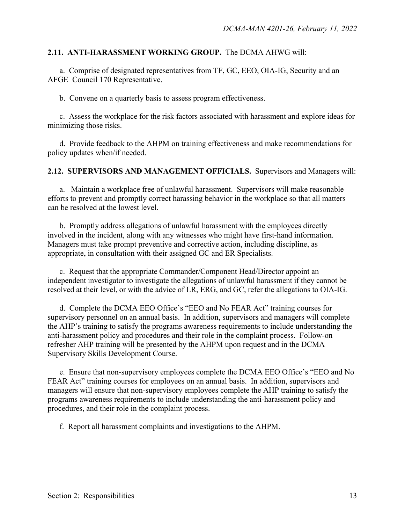#### **2.11. ANTI-HARASSMENT WORKING GROUP.** The DCMA AHWG will:

 a. Comprise of designated representatives from TF, GC, EEO, OIA-IG, Security and an AFGE Council 170 Representative.

b. Convene on a quarterly basis to assess program effectiveness.

 c. Assess the workplace for the risk factors associated with harassment and explore ideas for minimizing those risks.

 d. Provide feedback to the AHPM on training effectiveness and make recommendations for policy updates when/if needed.

**2.12. SUPERVISORS AND MANAGEMENT OFFICIALS.** Supervisors and Managers will:

 a. Maintain a workplace free of unlawful harassment. Supervisors will make reasonable efforts to prevent and promptly correct harassing behavior in the workplace so that all matters can be resolved at the lowest level.

 b. Promptly address allegations of unlawful harassment with the employees directly involved in the incident, along with any witnesses who might have first-hand information. Managers must take prompt preventive and corrective action, including discipline, as appropriate, in consultation with their assigned GC and ER Specialists.

 c. Request that the appropriate Commander/Component Head/Director appoint an independent investigator to investigate the allegations of unlawful harassment if they cannot be resolved at their level, or with the advice of LR, ERG, and GC, refer the allegations to OIA-IG.

 d. Complete the DCMA EEO Office's "EEO and No FEAR Act" training courses for supervisory personnel on an annual basis. In addition, supervisors and managers will complete the AHP's training to satisfy the programs awareness requirements to include understanding the anti-harassment policy and procedures and their role in the complaint process. Follow-on refresher AHP training will be presented by the AHPM upon request and in the DCMA Supervisory Skills Development Course.

 e. Ensure that non-supervisory employees complete the DCMA EEO Office's "EEO and No FEAR Act" training courses for employees on an annual basis. In addition, supervisors and managers will ensure that non-supervisory employees complete the AHP training to satisfy the programs awareness requirements to include understanding the anti-harassment policy and procedures, and their role in the complaint process.

f. Report all harassment complaints and investigations to the AHPM.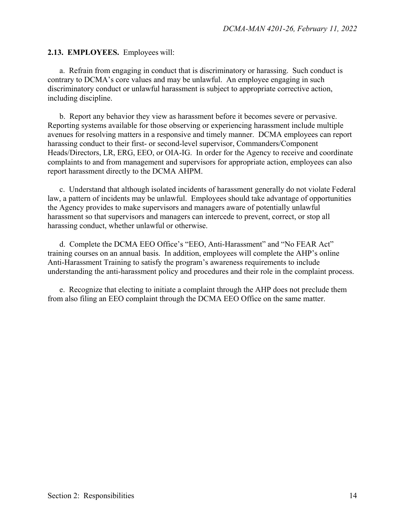**2.13. EMPLOYEES.** Employees will:

 a. Refrain from engaging in conduct that is discriminatory or harassing. Such conduct is contrary to DCMA's core values and may be unlawful. An employee engaging in such discriminatory conduct or unlawful harassment is subject to appropriate corrective action, including discipline.

 b. Report any behavior they view as harassment before it becomes severe or pervasive. Reporting systems available for those observing or experiencing harassment include multiple avenues for resolving matters in a responsive and timely manner. DCMA employees can report harassing conduct to their first- or second-level supervisor, Commanders/Component Heads/Directors, LR, ERG, EEO, or OIA-IG. In order for the Agency to receive and coordinate complaints to and from management and supervisors for appropriate action, employees can also report harassment directly to the DCMA AHPM.

 c. Understand that although isolated incidents of harassment generally do not violate Federal law, a pattern of incidents may be unlawful. Employees should take advantage of opportunities the Agency provides to make supervisors and managers aware of potentially unlawful harassment so that supervisors and managers can intercede to prevent, correct, or stop all harassing conduct, whether unlawful or otherwise.

 d. Complete the DCMA EEO Office's "EEO, Anti-Harassment" and "No FEAR Act" training courses on an annual basis. In addition, employees will complete the AHP's online Anti-Harassment Training to satisfy the program's awareness requirements to include understanding the anti-harassment policy and procedures and their role in the complaint process.

 e. Recognize that electing to initiate a complaint through the AHP does not preclude them from also filing an EEO complaint through the DCMA EEO Office on the same matter.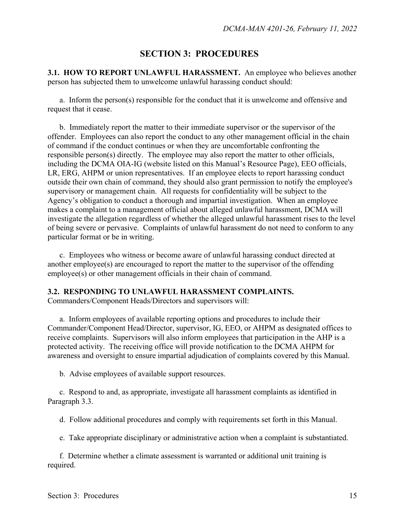## **SECTION 3: PROCEDURES**

**3.1. HOW TO REPORT UNLAWFUL HARASSMENT.** An employee who believes another person has subjected them to unwelcome unlawful harassing conduct should:

 a. Inform the person(s) responsible for the conduct that it is unwelcome and offensive and request that it cease.

 b. Immediately report the matter to their immediate supervisor or the supervisor of the offender. Employees can also report the conduct to any other management official in the chain of command if the conduct continues or when they are uncomfortable confronting the responsible person(s) directly. The employee may also report the matter to other officials, including the DCMA OIA-IG (website listed on this Manual's Resource Page), EEO officials, LR, ERG, AHPM or union representatives. If an employee elects to report harassing conduct outside their own chain of command, they should also grant permission to notify the employee's supervisory or management chain. All requests for confidentiality will be subject to the Agency's obligation to conduct a thorough and impartial investigation. When an employee makes a complaint to a management official about alleged unlawful harassment, DCMA will investigate the allegation regardless of whether the alleged unlawful harassment rises to the level of being severe or pervasive. Complaints of unlawful harassment do not need to conform to any particular format or be in writing.

c.Employees who witness or become aware of unlawful harassing conduct directed at another employee(s) are encouraged to report the matter to the supervisor of the offending employee(s) or other management officials in their chain of command.

#### **3.2. RESPONDING TO UNLAWFUL HARASSMENT COMPLAINTS.**

Commanders/Component Heads/Directors and supervisors will:

a. Inform employees of available reporting options and procedures to include their Commander/Component Head/Director, supervisor, IG, EEO, or AHPM as designated offices to receive complaints. Supervisors will also inform employees that participation in the AHP is a protected activity. The receiving office will provide notification to the DCMA AHPM for awareness and oversight to ensure impartial adjudication of complaints covered by this Manual.

b. Advise employees of available support resources.

c. Respond to and, as appropriate, investigate all harassment complaints as identified in Paragraph 3.3.

d. Follow additional procedures and comply with requirements set forth in this Manual.

e. Take appropriate disciplinary or administrative action when a complaint is substantiated.

f. Determine whether a climate assessment is warranted or additional unit training is required.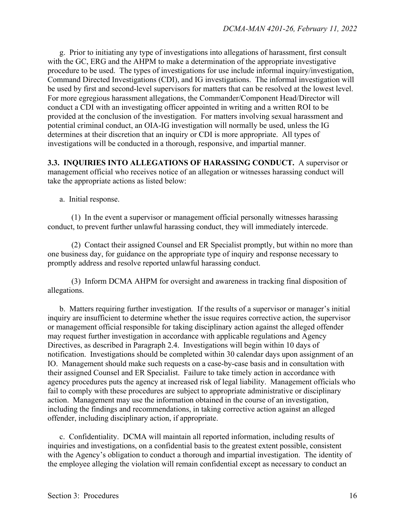g. Prior to initiating any type of investigations into allegations of harassment, first consult with the GC, ERG and the AHPM to make a determination of the appropriate investigative procedure to be used. The types of investigations for use include informal inquiry/investigation, Command Directed Investigations (CDI), and IG investigations. The informal investigation will be used by first and second-level supervisors for matters that can be resolved at the lowest level. For more egregious harassment allegations, the Commander/Component Head/Director will conduct a CDI with an investigating officer appointed in writing and a written ROI to be provided at the conclusion of the investigation. For matters involving sexual harassment and potential criminal conduct, an OIA-IG investigation will normally be used, unless the IG determines at their discretion that an inquiry or CDI is more appropriate. All types of investigations will be conducted in a thorough, responsive, and impartial manner.

**3.3. INQUIRIES INTO ALLEGATIONS OF HARASSING CONDUCT.** A supervisor or management official who receives notice of an allegation or witnesses harassing conduct will take the appropriate actions as listed below:

a. Initial response.

 (1) In the event a supervisor or management official personally witnesses harassing conduct, to prevent further unlawful harassing conduct, they will immediately intercede.

 (2) Contact their assigned Counsel and ER Specialist promptly, but within no more than one business day, for guidance on the appropriate type of inquiry and response necessary to promptly address and resolve reported unlawful harassing conduct.

 (3) Inform DCMA AHPM for oversight and awareness in tracking final disposition of allegations.

 b. Matters requiring further investigation*.* If the results of a supervisor or manager's initial inquiry are insufficient to determine whether the issue requires corrective action, the supervisor or management official responsible for taking disciplinary action against the alleged offender may request further investigation in accordance with applicable regulations and Agency Directives, as described in Paragraph 2.4. Investigations will begin within 10 days of notification. Investigations should be completed within 30 calendar days upon assignment of an IO. Management should make such requests on a case-by-case basis and in consultation with their assigned Counsel and ER Specialist. Failure to take timely action in accordance with agency procedures puts the agency at increased risk of legal liability. Management officials who fail to comply with these procedures are subject to appropriate administrative or disciplinary action. Management may use the information obtained in the course of an investigation, including the findings and recommendations, in taking corrective action against an alleged offender, including disciplinary action, if appropriate.

 c. Confidentiality. DCMA will maintain all reported information, including results of inquiries and investigations, on a confidential basis to the greatest extent possible, consistent with the Agency's obligation to conduct a thorough and impartial investigation. The identity of the employee alleging the violation will remain confidential except as necessary to conduct an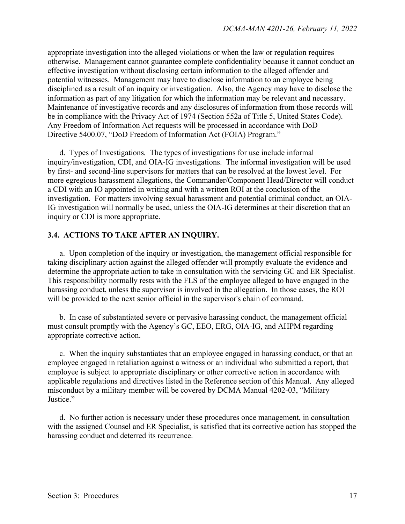appropriate investigation into the alleged violations or when the law or regulation requires otherwise. Management cannot guarantee complete confidentiality because it cannot conduct an effective investigation without disclosing certain information to the alleged offender and potential witnesses. Management may have to disclose information to an employee being disciplined as a result of an inquiry or investigation. Also, the Agency may have to disclose the information as part of any litigation for which the information may be relevant and necessary. Maintenance of investigative records and any disclosures of information from those records will be in compliance with the Privacy Act of 1974 (Section 552a of Title 5, United States Code). Any Freedom of Information Act requests will be processed in accordance with DoD Directive 5400.07, "DoD Freedom of Information Act (FOIA) Program."

 d. Types of Investigations*.* The types of investigations for use include informal inquiry/investigation, CDI, and OIA-IG investigations. The informal investigation will be used by first- and second-line supervisors for matters that can be resolved at the lowest level. For more egregious harassment allegations, the Commander/Component Head/Director will conduct a CDI with an IO appointed in writing and with a written ROI at the conclusion of the investigation. For matters involving sexual harassment and potential criminal conduct, an OIA-IG investigation will normally be used, unless the OIA-IG determines at their discretion that an inquiry or CDI is more appropriate.

#### **3.4. ACTIONS TO TAKE AFTER AN INQUIRY.**

 a. Upon completion of the inquiry or investigation, the management official responsible for taking disciplinary action against the alleged offender will promptly evaluate the evidence and determine the appropriate action to take in consultation with the servicing GC and ER Specialist. This responsibility normally rests with the FLS of the employee alleged to have engaged in the harassing conduct, unless the supervisor is involved in the allegation. In those cases, the ROI will be provided to the next senior official in the supervisor's chain of command.

 b. In case of substantiated severe or pervasive harassing conduct, the management official must consult promptly with the Agency's GC, EEO, ERG, OIA-IG, and AHPM regarding appropriate corrective action.

 c. When the inquiry substantiates that an employee engaged in harassing conduct, or that an employee engaged in retaliation against a witness or an individual who submitted a report, that employee is subject to appropriate disciplinary or other corrective action in accordance with applicable regulations and directives listed in the Reference section of this Manual. Any alleged misconduct by a military member will be covered by DCMA Manual 4202-03, "Military Justice."

 d. No further action is necessary under these procedures once management, in consultation with the assigned Counsel and ER Specialist, is satisfied that its corrective action has stopped the harassing conduct and deterred its recurrence.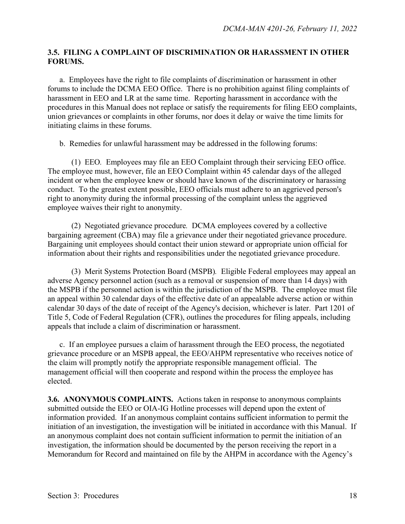#### **3.5. FILING A COMPLAINT OF DISCRIMINATION OR HARASSMENT IN OTHER FORUMS.**

 a. Employees have the right to file complaints of discrimination or harassment in other forums to include the DCMA EEO Office. There is no prohibition against filing complaints of harassment in EEO and LR at the same time. Reporting harassment in accordance with the procedures in this Manual does not replace or satisfy the requirements for filing EEO complaints, union grievances or complaints in other forums, nor does it delay or waive the time limits for initiating claims in these forums.

b. Remedies for unlawful harassment may be addressed in the following forums:

 (1) EEO*.* Employees may file an EEO Complaint through their servicing EEO office. The employee must, however, file an EEO Complaint within 45 calendar days of the alleged incident or when the employee knew or should have known of the discriminatory or harassing conduct. To the greatest extent possible, EEO officials must adhere to an aggrieved person's right to anonymity during the informal processing of the complaint unless the aggrieved employee waives their right to anonymity.

 (2) Negotiated grievance procedure*.* DCMA employees covered by a collective bargaining agreement (CBA) may file a grievance under their negotiated grievance procedure. Bargaining unit employees should contact their union steward or appropriate union official for information about their rights and responsibilities under the negotiated grievance procedure.

 (3) Merit Systems Protection Board (MSPB)*.* Eligible Federal employees may appeal an adverse Agency personnel action (such as a removal or suspension of more than 14 days) with the MSPB if the personnel action is within the jurisdiction of the MSPB. The employee must file an appeal within 30 calendar days of the effective date of an appealable adverse action or within calendar 30 days of the date of receipt of the Agency's decision, whichever is later. Part 1201 of Title 5, Code of Federal Regulation (CFR), outlines the procedures for filing appeals, including appeals that include a claim of discrimination or harassment.

 c. If an employee pursues a claim of harassment through the EEO process, the negotiated grievance procedure or an MSPB appeal, the EEO/AHPM representative who receives notice of the claim will promptly notify the appropriate responsible management official. The management official will then cooperate and respond within the process the employee has elected.

**3.6. ANONYMOUS COMPLAINTS.** Actions taken in response to anonymous complaints submitted outside the EEO or OIA-IG Hotline processes will depend upon the extent of information provided. If an anonymous complaint contains sufficient information to permit the initiation of an investigation, the investigation will be initiated in accordance with this Manual. If an anonymous complaint does not contain sufficient information to permit the initiation of an investigation, the information should be documented by the person receiving the report in a Memorandum for Record and maintained on file by the AHPM in accordance with the Agency's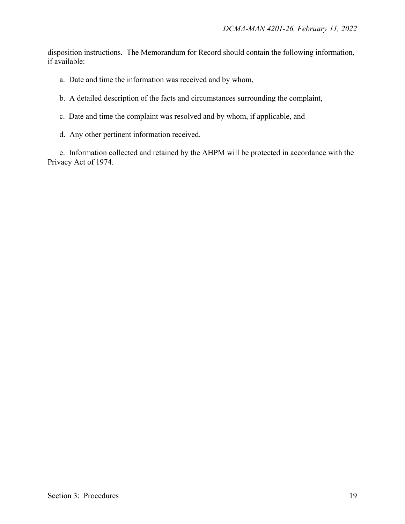disposition instructions. The Memorandum for Record should contain the following information, if available:

- a. Date and time the information was received and by whom,
- b. A detailed description of the facts and circumstances surrounding the complaint,
- c. Date and time the complaint was resolved and by whom, if applicable, and
- d. Any other pertinent information received.

e. Information collected and retained by the AHPM will be protected in accordance with the Privacy Act of 1974.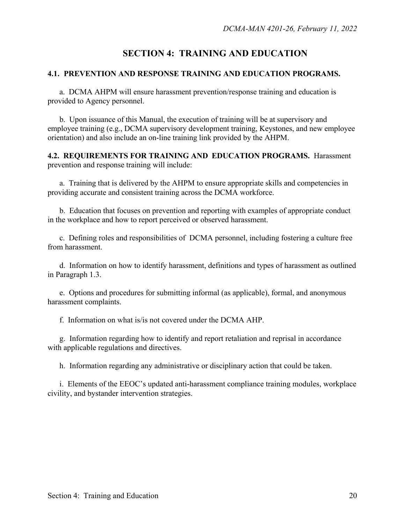## **SECTION 4: TRAINING AND EDUCATION**

#### **4.1. PREVENTION AND RESPONSE TRAINING AND EDUCATION PROGRAMS.**

a. DCMA AHPM will ensure harassment prevention/response training and education is provided to Agency personnel.

b. Upon issuance of this Manual, the execution of training will be at supervisory and employee training (e.g., DCMA supervisory development training, Keystones, and new employee orientation) and also include an on-line training link provided by the AHPM.

**4.2. REQUIREMENTS FOR TRAINING AND EDUCATION PROGRAMS.** Harassment prevention and response training will include:

a. Training that is delivered by the AHPM to ensure appropriate skills and competencies in providing accurate and consistent training across the DCMA workforce.

b. Education that focuses on prevention and reporting with examples of appropriate conduct in the workplace and how to report perceived or observed harassment.

c. Defining roles and responsibilities of DCMA personnel, including fostering a culture free from harassment.

d. Information on how to identify harassment, definitions and types of harassment as outlined in Paragraph 1.3.

 e. Options and procedures for submitting informal (as applicable), formal, and anonymous harassment complaints.

f. Information on what is/is not covered under the DCMA AHP.

 g. Information regarding how to identify and report retaliation and reprisal in accordance with applicable regulations and directives.

h. Information regarding any administrative or disciplinary action that could be taken.

 i. Elements of the EEOC's updated anti-harassment compliance training modules, workplace civility, and bystander intervention strategies.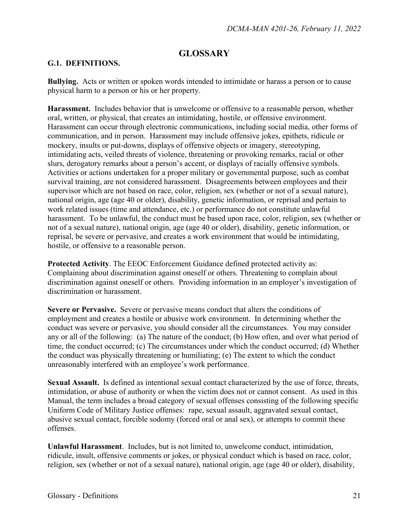## **GLOSSARY**

#### **G.1. DEFINITIONS.**

**Bullying.** Acts or written or spoken words intended to intimidate or harass a person or to cause physical harm to a person or his or her property.

**Harassment.** Includes behavior that is unwelcome or offensive to a reasonable person, whether oral, written, or physical, that creates an intimidating, hostile, or offensive environment. Harassment can occur through electronic communications, including social media, other forms of communication, and in person. Harassment may include offensive jokes, epithets, ridicule or mockery, insults or put-downs, displays of offensive objects or imagery, stereotyping, intimidating acts, veiled threats of violence, threatening or provoking remarks, racial or other slurs, derogatory remarks about a person's accent, or displays of racially offensive symbols. Activities or actions undertaken for a proper military or governmental purpose, such as combat survival training, are not considered harassment. Disagreements between employees and their supervisor which are not based on race, color, religion, sex (whether or not of a sexual nature), national origin, age (age 40 or older), disability, genetic information, or reprisal and pertain to work related issues (time and attendance, etc.) or performance do not constitute unlawful harassment. To be unlawful, the conduct must be based upon race, color, religion, sex (whether or not of a sexual nature), national origin, age (age 40 or older), disability, genetic information, or reprisal, be severe or pervasive, and creates a work environment that would be intimidating, hostile, or offensive to a reasonable person.

**Protected Activity**. The EEOC Enforcement Guidance defined protected activity as: Complaining about discrimination against oneself or others. Threatening to complain about discrimination against oneself or others. Providing information in an employer's investigation of discrimination or harassment.

**Severe or Pervasive.** Severe or pervasive means conduct that alters the conditions of employment and creates a hostile or abusive work environment. In determining whether the conduct was severe or pervasive, you should consider all the circumstances. You may consider any or all of the following: (a) The nature of the conduct; (b) How often, and over what period of time, the conduct occurred; (c) The circumstances under which the conduct occurred; (d) Whether the conduct was physically threatening or humiliating; (e) The extent to which the conduct unreasonably interfered with an employee's work performance.

**Sexual Assault.** Is defined as intentional sexual contact characterized by the use of force, threats, intimidation, or abuse of authority or when the victim does not or cannot consent. As used in this Manual, the term includes a broad category of sexual offenses consisting of the following specific Uniform Code of Military Justice offenses: rape, sexual assault, aggravated sexual contact, abusive sexual contact, forcible sodomy (forced oral or anal sex), or attempts to commit these offenses.

**Unlawful Harassment**. Includes, but is not limited to, unwelcome conduct, intimidation, ridicule, insult, offensive comments or jokes, or physical conduct which is based on race, color, religion, sex (whether or not of a sexual nature), national origin, age (age 40 or older), disability,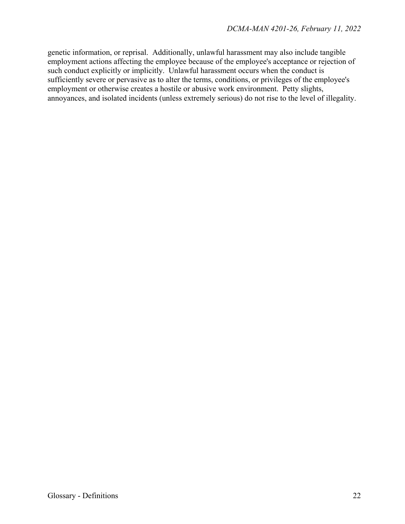genetic information, or reprisal. Additionally, unlawful harassment may also include tangible employment actions affecting the employee because of the employee's acceptance or rejection of such conduct explicitly or implicitly. Unlawful harassment occurs when the conduct is sufficiently severe or pervasive as to alter the terms, conditions, or privileges of the employee's employment or otherwise creates a hostile or abusive work environment. Petty slights, annoyances, and isolated incidents (unless extremely serious) do not rise to the level of illegality.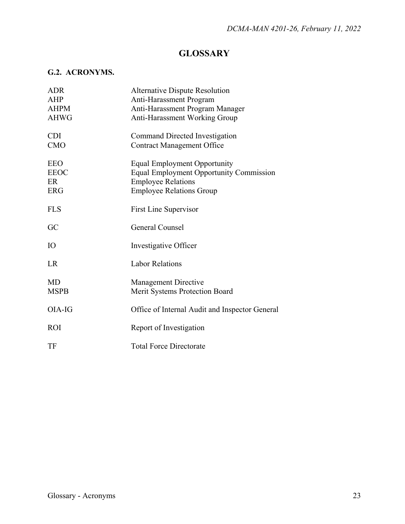## **GLOSSARY**

## **G.2. ACRONYMS.**

| ADR         | <b>Alternative Dispute Resolution</b>          |
|-------------|------------------------------------------------|
| AHP         | Anti-Harassment Program                        |
| <b>AHPM</b> | Anti-Harassment Program Manager                |
| <b>AHWG</b> | <b>Anti-Harassment Working Group</b>           |
| <b>CDI</b>  | Command Directed Investigation                 |
| <b>CMO</b>  | <b>Contract Management Office</b>              |
| <b>EEO</b>  | <b>Equal Employment Opportunity</b>            |
| <b>EEOC</b> | <b>Equal Employment Opportunity Commission</b> |
| ER          | <b>Employee Relations</b>                      |
| <b>ERG</b>  | <b>Employee Relations Group</b>                |
| <b>FLS</b>  | <b>First Line Supervisor</b>                   |
| GC          | General Counsel                                |
| IO          | Investigative Officer                          |
| LR          | <b>Labor Relations</b>                         |
| <b>MD</b>   | <b>Management Directive</b>                    |
| <b>MSPB</b> | Merit Systems Protection Board                 |
| OIA-IG      | Office of Internal Audit and Inspector General |
| <b>ROI</b>  | Report of Investigation                        |
| TF          | <b>Total Force Directorate</b>                 |